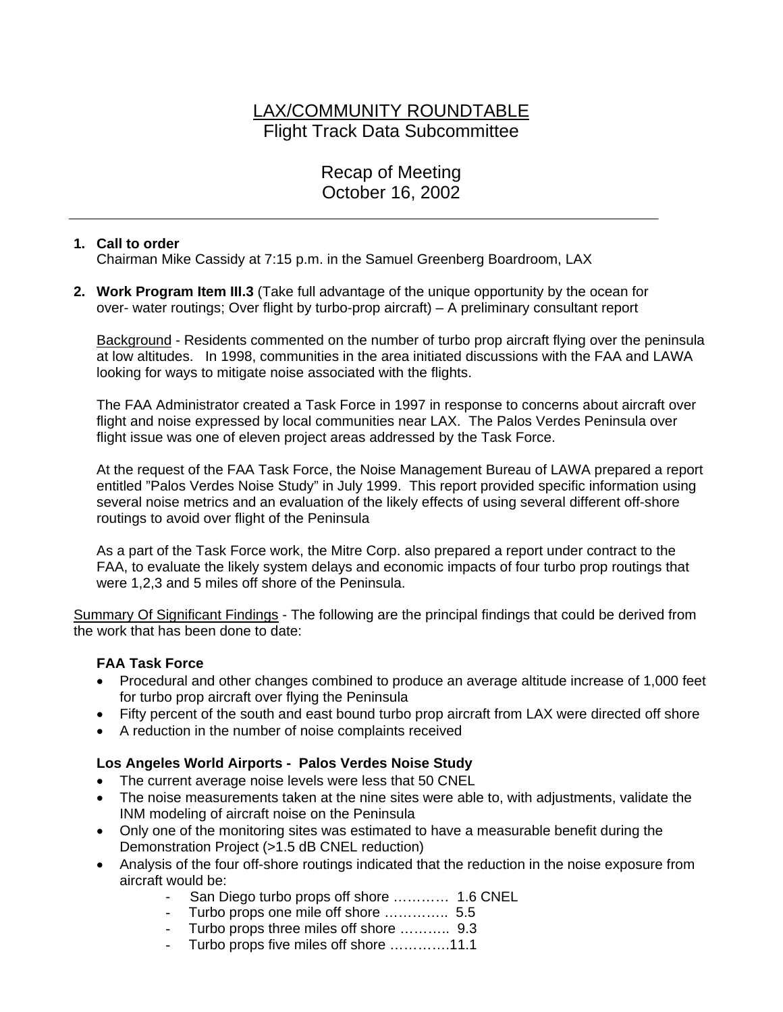# LAX/COMMUNITY ROUNDTABLE Flight Track Data Subcommittee

Recap of Meeting October 16, 2002

### **1. Call to order**

Chairman Mike Cassidy at 7:15 p.m. in the Samuel Greenberg Boardroom, LAX

**2. Work Program Item III.3** (Take full advantage of the unique opportunity by the ocean for over- water routings; Over flight by turbo-prop aircraft) – A preliminary consultant report

Background - Residents commented on the number of turbo prop aircraft flying over the peninsula at low altitudes. In 1998, communities in the area initiated discussions with the FAA and LAWA looking for ways to mitigate noise associated with the flights.

The FAA Administrator created a Task Force in 1997 in response to concerns about aircraft over flight and noise expressed by local communities near LAX. The Palos Verdes Peninsula over flight issue was one of eleven project areas addressed by the Task Force.

At the request of the FAA Task Force, the Noise Management Bureau of LAWA prepared a report entitled "Palos Verdes Noise Study" in July 1999. This report provided specific information using several noise metrics and an evaluation of the likely effects of using several different off-shore routings to avoid over flight of the Peninsula

As a part of the Task Force work, the Mitre Corp. also prepared a report under contract to the FAA, to evaluate the likely system delays and economic impacts of four turbo prop routings that were 1,2,3 and 5 miles off shore of the Peninsula.

Summary Of Significant Findings - The following are the principal findings that could be derived from the work that has been done to date:

#### **FAA Task Force**

- Procedural and other changes combined to produce an average altitude increase of 1,000 feet for turbo prop aircraft over flying the Peninsula
- Fifty percent of the south and east bound turbo prop aircraft from LAX were directed off shore
- A reduction in the number of noise complaints received

#### **Los Angeles World Airports - Palos Verdes Noise Study**

- The current average noise levels were less that 50 CNEL
- The noise measurements taken at the nine sites were able to, with adjustments, validate the INM modeling of aircraft noise on the Peninsula
- Only one of the monitoring sites was estimated to have a measurable benefit during the Demonstration Project (>1.5 dB CNEL reduction)
- Analysis of the four off-shore routings indicated that the reduction in the noise exposure from aircraft would be:
	- San Diego turbo props off shore ............ 1.6 CNEL
	- Turbo props one mile off shore ………….. 5.5
	- Turbo props three miles off shore ……….. 9.3
	- Turbo props five miles off shore ............11.1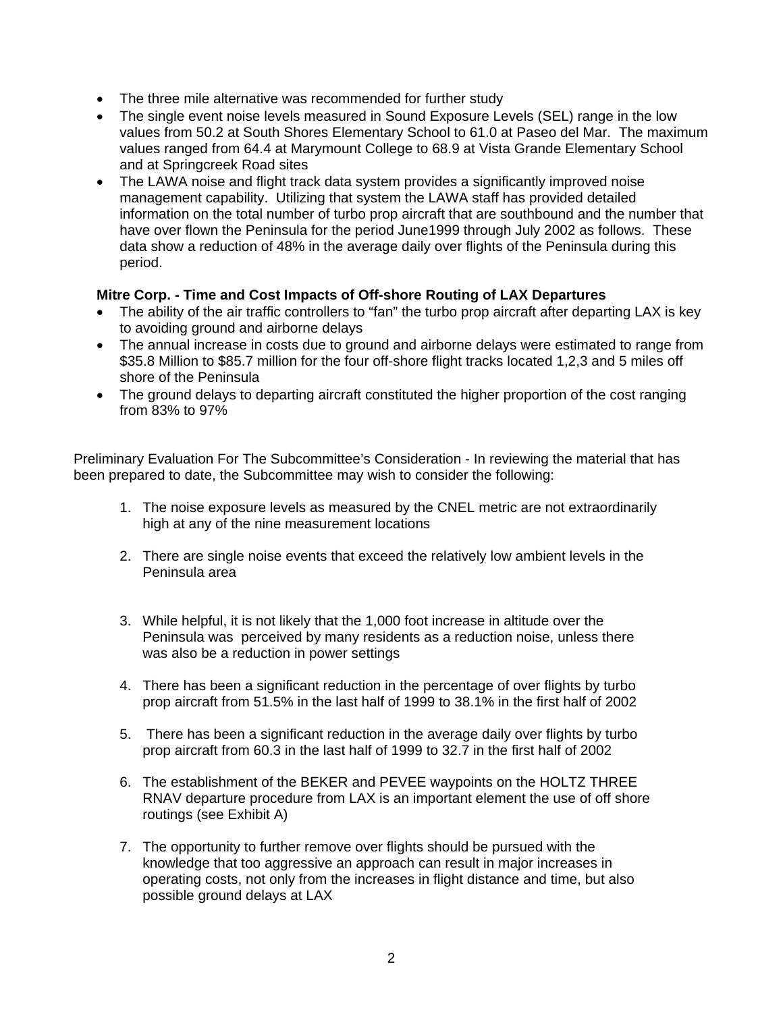- The three mile alternative was recommended for further study
- The single event noise levels measured in Sound Exposure Levels (SEL) range in the low values from 50.2 at South Shores Elementary School to 61.0 at Paseo del Mar. The maximum values ranged from 64.4 at Marymount College to 68.9 at Vista Grande Elementary School and at Springcreek Road sites
- The LAWA noise and flight track data system provides a significantly improved noise management capability. Utilizing that system the LAWA staff has provided detailed information on the total number of turbo prop aircraft that are southbound and the number that have over flown the Peninsula for the period June1999 through July 2002 as follows. These data show a reduction of 48% in the average daily over flights of the Peninsula during this period.

## **Mitre Corp. - Time and Cost Impacts of Off-shore Routing of LAX Departures**

- The ability of the air traffic controllers to "fan" the turbo prop aircraft after departing LAX is key to avoiding ground and airborne delays
- The annual increase in costs due to ground and airborne delays were estimated to range from \$35.8 Million to \$85.7 million for the four off-shore flight tracks located 1,2,3 and 5 miles off shore of the Peninsula
- The ground delays to departing aircraft constituted the higher proportion of the cost ranging from 83% to 97%

Preliminary Evaluation For The Subcommittee's Consideration - In reviewing the material that has been prepared to date, the Subcommittee may wish to consider the following:

- 1. The noise exposure levels as measured by the CNEL metric are not extraordinarily high at any of the nine measurement locations
- 2. There are single noise events that exceed the relatively low ambient levels in the Peninsula area
- 3. While helpful, it is not likely that the 1,000 foot increase in altitude over the Peninsula was perceived by many residents as a reduction noise, unless there was also be a reduction in power settings
- 4. There has been a significant reduction in the percentage of over flights by turbo prop aircraft from 51.5% in the last half of 1999 to 38.1% in the first half of 2002
- 5. There has been a significant reduction in the average daily over flights by turbo prop aircraft from 60.3 in the last half of 1999 to 32.7 in the first half of 2002
- 6. The establishment of the BEKER and PEVEE waypoints on the HOLTZ THREE RNAV departure procedure from LAX is an important element the use of off shore routings (see Exhibit A)
- 7. The opportunity to further remove over flights should be pursued with the knowledge that too aggressive an approach can result in major increases in operating costs, not only from the increases in flight distance and time, but also possible ground delays at LAX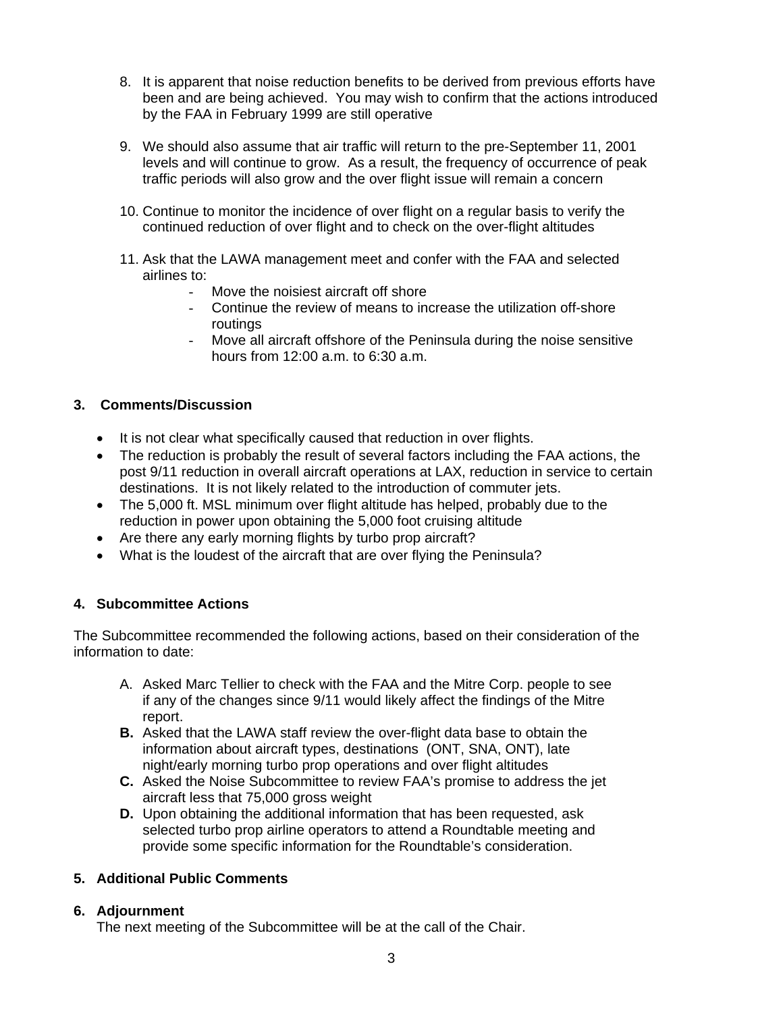- 8. It is apparent that noise reduction benefits to be derived from previous efforts have been and are being achieved. You may wish to confirm that the actions introduced by the FAA in February 1999 are still operative
- 9. We should also assume that air traffic will return to the pre-September 11, 2001 levels and will continue to grow. As a result, the frequency of occurrence of peak traffic periods will also grow and the over flight issue will remain a concern
- 10. Continue to monitor the incidence of over flight on a regular basis to verify the continued reduction of over flight and to check on the over-flight altitudes
- 11. Ask that the LAWA management meet and confer with the FAA and selected airlines to:
	- Move the noisiest aircraft off shore
	- Continue the review of means to increase the utilization off-shore routings
	- Move all aircraft offshore of the Peninsula during the noise sensitive hours from 12:00 a.m. to 6:30 a.m.

## **3. Comments/Discussion**

- It is not clear what specifically caused that reduction in over flights.
- The reduction is probably the result of several factors including the FAA actions, the post 9/11 reduction in overall aircraft operations at LAX, reduction in service to certain destinations. It is not likely related to the introduction of commuter jets.
- The 5,000 ft. MSL minimum over flight altitude has helped, probably due to the reduction in power upon obtaining the 5,000 foot cruising altitude
- Are there any early morning flights by turbo prop aircraft?
- What is the loudest of the aircraft that are over flying the Peninsula?

# **4. Subcommittee Actions**

The Subcommittee recommended the following actions, based on their consideration of the information to date:

- A. Asked Marc Tellier to check with the FAA and the Mitre Corp. people to see if any of the changes since 9/11 would likely affect the findings of the Mitre report.
- **B.** Asked that the LAWA staff review the over-flight data base to obtain the information about aircraft types, destinations (ONT, SNA, ONT), late night/early morning turbo prop operations and over flight altitudes
- **C.** Asked the Noise Subcommittee to review FAA's promise to address the jet aircraft less that 75,000 gross weight
- **D.** Upon obtaining the additional information that has been requested, ask selected turbo prop airline operators to attend a Roundtable meeting and provide some specific information for the Roundtable's consideration.

# **5. Additional Public Comments**

#### **6. Adjournment**

The next meeting of the Subcommittee will be at the call of the Chair.